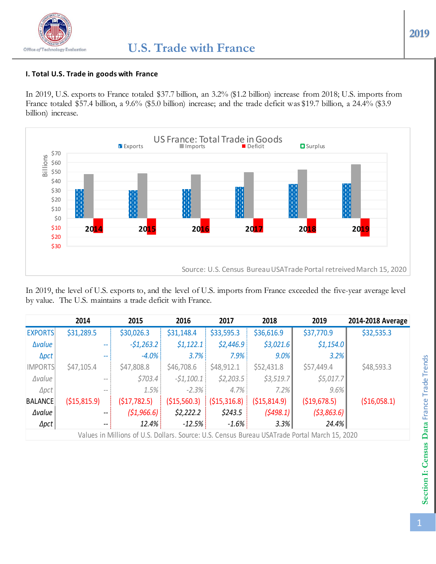## **I. Total U.S. Trade in goods with France**

In 2019, U.S. exports to France totaled \$37.7 billion, an 3.2% (\$1.2 billion) increase from 2018; U.S. imports from France totaled \$57.4 billion, a 9.6% (\$5.0 billion) increase; and the trade deficit was \$19.7 billion, a 24.4% (\$3.9 billion) increase.



In 2019, the level of U.S. exports to, and the level of U.S. imports from France exceeded the five-year average level by value. The U.S. maintains a trade deficit with France.

|                | 2014                                           | 2015         | 2016          | 2017          | 2018           | 2019       | 2014-2018 Average |
|----------------|------------------------------------------------|--------------|---------------|---------------|----------------|------------|-------------------|
| <b>EXPORTS</b> | \$31,289.5                                     | \$30,026.3   | \$31,148.4    | \$33,595.3    | \$36,616.9     | \$37,770.9 | \$32,535.3        |
| <b>Avalue</b>  | $- -$                                          | $-51,263.2$  | \$1,122.1     | \$2,446.9     | \$3,021.6      | \$1,154.0  |                   |
| <b>Apct</b>    | $\overline{\phantom{m}}$                       | $-4.0%$      | 3.7%          | 7.9%          | $9.0\%$        | 3.2%       |                   |
| <b>IMPORTS</b> | \$47,105.4                                     | \$47,808.8   | \$46,708.6    | \$48,912.1    | \$52,431.8     | \$57,449.4 | \$48,593.3        |
| ∆value         | $\qquad \qquad -$                              | \$703.4\$    | $-51,100.1$   | \$2,203.5     | \$3,519.7      | \$5,017.7  |                   |
| $\Delta pct$   | $-\,-$                                         | 1.5%         | $-2.3%$       | 4.7%          | 7.2%           | 9.6%       |                   |
| <b>BALANCE</b> | ( \$15, 815.9)                                 | (517, 782.5) | ( \$15,560.3) | ( \$15,316.8) | ( \$15, 814.9) |            | ( \$16,058.1)     |
| ∆value         | $\overline{\phantom{m}}$                       | (51,966.6)   | \$2,222.2     | \$243.5       | (5498.1)       | (53,863.6) |                   |
| $\Delta pct$   | $\hspace{0.1mm}-\hspace{0.1mm}-\hspace{0.1mm}$ | 12.4%        | $-12.5%$      | $-1.6%$       | $3.3\%$        | 24.4%      |                   |

Values in Millions of U.S. Dollars. Source: U.S. Census Bureau USATrade Portal March 15, 2020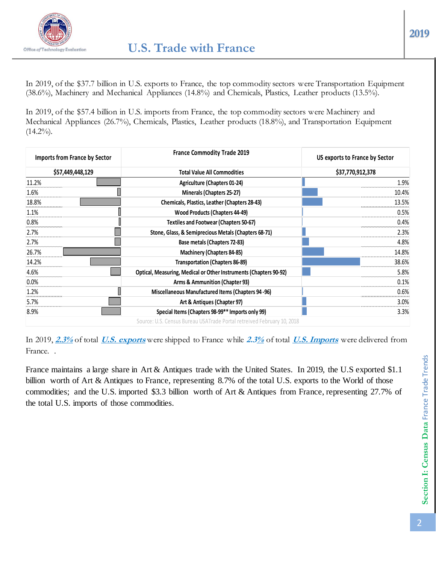

In 2019, of the \$37.7 billion in U.S. exports to France, the top commodity sectors were Transportation Equipment (38.6%), Machinery and Mechanical Appliances (14.8%) and Chemicals, Plastics, Leather products (13.5%).

In 2019, of the \$57.4 billion in U.S. imports from France, the top commodity sectors were Machinery and Mechanical Appliances (26.7%), Chemicals, Plastics, Leather products (18.8%), and Transportation Equipment  $(14.2\%)$ .

| <b>Imports from France by Sector</b> | <b>France Commodity Trade 2019</b>                                       | US exports to France by Sector |
|--------------------------------------|--------------------------------------------------------------------------|--------------------------------|
| \$57,449,448,129                     | <b>Total Value All Commodities</b>                                       | \$37,770,912,378               |
| 11.2%                                | Agriculture (Chapters 01-24)                                             | 1.9%                           |
| 1.6%                                 | Minerals (Chapters 25-27)                                                | 10.4%                          |
| 18.8%                                | Chemicals, Plastics, Leather (Chapters 28-43)                            | 13.5%                          |
| 1.1%                                 | <b>Wood Products (Chapters 44-49)</b>                                    | 0.5%                           |
| 0.8%                                 | <b>Textiles and Footwear (Chapters 50-67)</b>                            | 0.4%                           |
| 2.7%                                 | Stone, Glass, & Semiprecious Metals (Chapters 68-71)                     | 2.3%                           |
| 2.7%                                 | Base metals (Chapters 72-83)                                             | 4.8%                           |
| 26.7%                                | Machinery (Chapters 84-85)                                               | 14.8%                          |
| 14.2%                                | <b>Transportation (Chapters 86-89)</b>                                   | 38.6%                          |
| 4.6%                                 | <b>Optical, Measuring, Medical or Other Instruments (Chapters 90-92)</b> | 5.8%                           |
| 0.0%                                 | Arms & Ammunition (Chapter 93)                                           | 0.1%                           |
| 1.2%                                 | Miscellaneous Manufactured Items (Chapters 94-96)                        | 0.6%                           |
| 5.7%                                 | Art & Antiques (Chapter 97)                                              | $3.0\%$                        |
| 8.9%                                 | Special Items (Chapters 98-99** Imports only 99)                         | 3.3%                           |
|                                      | Source: U.S. Census Bureau USATrade Portal retreived February 10, 2018   |                                |

In 2019, **2.3%** of total **U.S. exports** were shipped to France while **2.3%** of total **U.S. Imports** were delivered from France. .

France maintains a large share in Art & Antiques trade with the United States. In 2019, the U.S exported \$1.1 billion worth of Art & Antiques to France, representing 8.7% of the total U.S. exports to the World of those commodities; and the U.S. imported \$3.3 billion worth of Art & Antiques from France, representing 27.7% of the total U.S. imports of those commodities.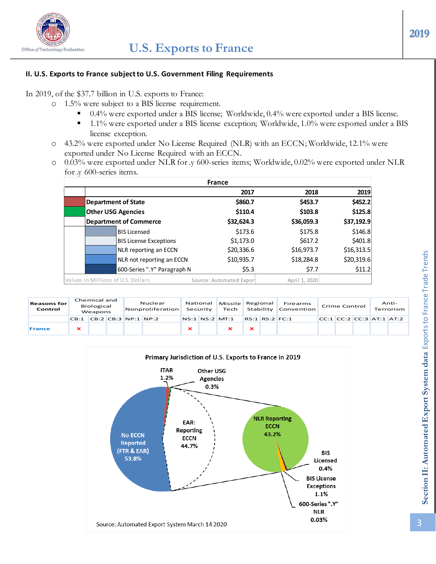

### **II. U.S. Exports to France subject to U.S. Government Filing Requirements**

In 2019, of the \$37.7 billion in U.S. exports to France:

- o 1.5% were subject to a BIS license requirement.
	- 0.4% were exported under a BIS license; Worldwide, 0.4% were exported under a BIS license.
	- <sup>1.1%</sup> were exported under a BIS license exception; Worldwide, 1.0% were exported under a BIS license exception.
- o 43.2% were exported under No License Required (NLR) with an ECCN; Worldwide, 12.1% were exported under No License Required with an ECCN.
- o 0.03% were exported under NLR for .y 600-series items; Worldwide, 0.02% were exported under NLR for .y 600-series items.

|                                     |                               | <b>France</b>            |               |            |
|-------------------------------------|-------------------------------|--------------------------|---------------|------------|
|                                     |                               | 2017                     | 2018          | 2019       |
|                                     | <b>Department of State</b>    | \$860.7                  | \$453.7       | \$452.2    |
|                                     | <b>Other USG Agencies</b>     | \$110.4                  | \$103.8       | \$125.8    |
|                                     | <b>Department of Commerce</b> | \$32,624.3               | \$36,059.3    | \$37,192.9 |
|                                     | <b>BIS Licensed</b>           | \$173.6                  | \$175.8       | \$146.8    |
|                                     | <b>BIS License Exceptions</b> | \$1,173.0                | \$617.2       | \$401.8    |
|                                     | NLR reporting an ECCN         | \$20,336.6               | \$16,973.7    | \$16,313.5 |
|                                     | NLR not reporting an ECCN     | \$10,935.7               | \$18,284.8    | \$20,319.6 |
|                                     | 600-Series ".Y" Paragraph N   | \$5.3                    | \$7.7         | \$11.2     |
| Values in Millions of U.S. Dollars. |                               | Source: Automated Export | April 1, 2020 |            |

| <b>Reasons for</b><br>Control | Chemical and<br>Biological<br>Weapons |  | Nuclear<br>Nonproliferation |  | National            | Security | Missile Regional<br>Tech |                | Firearms<br>Stability Convention | <b>Crime Control</b> |                          | Anti-<br>Terrorism |  |
|-------------------------------|---------------------------------------|--|-----------------------------|--|---------------------|----------|--------------------------|----------------|----------------------------------|----------------------|--------------------------|--------------------|--|
|                               | CB:1                                  |  |                             |  | CB:2 CB:3 NP:1 NP:2 |          |                          | NS:1 NS:2 MT:1 | RS:1 RS:2 FC:1                   |                      | CC:1 CC:2 CC:3 AT:1 AT:2 |                    |  |
| <b>France</b>                 |                                       |  |                             |  |                     |          |                          |                |                                  |                      |                          |                    |  |

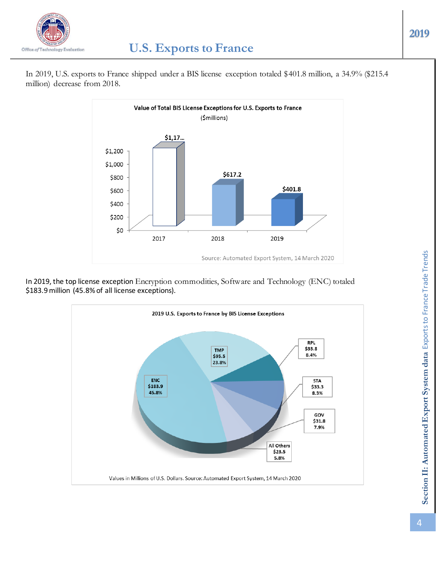

In 2019, U.S. exports to France shipped under a BIS license exception totaled \$401.8 million, a 34.9% (\$215.4 million) decrease from 2018.





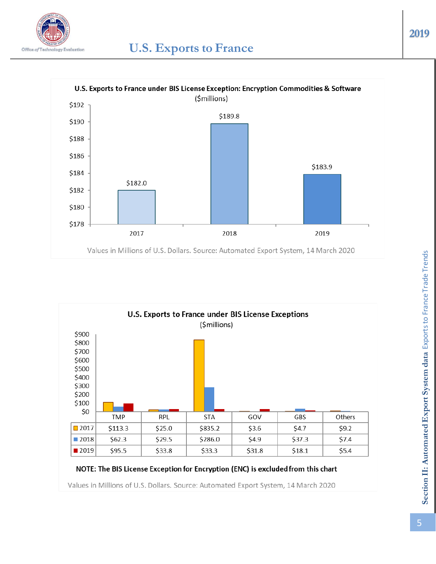





# NOTE: The BIS License Exception for Encryption (ENC) is excluded from this chart

Values in Millions of U.S. Dollars. Source: Automated Export System, 14 March 2020

# Section II: Automated Export System data Exports to France Trade Trends **Section II: Automated Export System data** Exports to France Trade Trends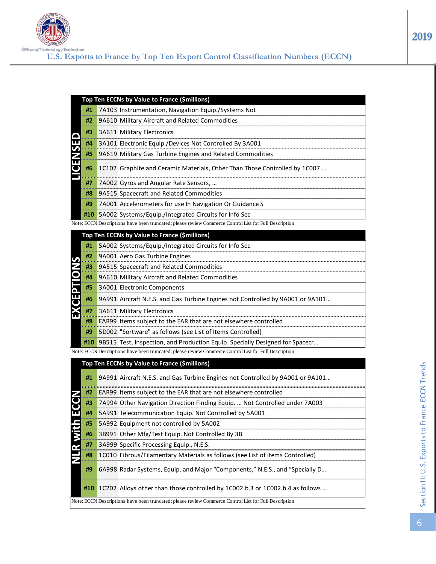

|  |    | Top Ten ECCNs by Value to France (Smillions)                     |
|--|----|------------------------------------------------------------------|
|  | #1 | 7A103 Instrumentation, Navigation Equip./Systems Not             |
|  | #2 | 9A610 Military Aircraft and Related Commodities                  |
|  | #3 | 3A611 Military Electronics                                       |
|  | #4 | 3A101 Electronic Equip./Devices Not Controlled By 3A001          |
|  |    | #5 9A619 Military Gas Turbine Engines and Related Commodities    |
|  | #6 |                                                                  |
|  | #7 | 7A002 Gyros and Angular Rate Sensors,                            |
|  | #8 | 9A515 Spacecraft and Related Commodities                         |
|  | #9 | 7A001 Accelerometers for use In Navigation Or Guidance S         |
|  |    | <b>#10</b> 5A002 Systems/Equip./Integrated Circuits for Info Sec |

Note: ECCN Descriptions have been truncated: please review Commerce Control List for Full Description

|                            |    | Top Ten ECCNs by Value to France (\$millions)                                           |
|----------------------------|----|-----------------------------------------------------------------------------------------|
|                            | #1 | 5A002 Systems/Equip./Integrated Circuits for Info Sec                                   |
| $\boldsymbol{\mathcal{G}}$ | #2 | 9A001 Aero Gas Turbine Engines                                                          |
|                            | #3 | 9A515 Spacecraft and Related Commodities                                                |
|                            | #4 | 9A610 Military Aircraft and Related Commodities                                         |
|                            | #5 | 3A001 Electronic Components                                                             |
|                            | #6 | 9A991 Aircraft N.E.S. and Gas Turbine Engines not Controlled by 9A001 or 9A101          |
|                            | #7 | 3A611 Military Electronics                                                              |
|                            | #8 | <b>EAR99</b> Items subject to the EAR that are not elsewhere controlled                 |
|                            | #9 | <b>5D002 "Sortware" as follows (see List of Items Controlled)</b>                       |
|                            |    | <b>#10</b> 9B515 Test, Inspection, and Production Equip. Specially Designed for Spacecr |

Note: ECCN Descriptions have been truncated: please review Commerce Control List for Full Description

# **#1** 9A991 Aircraft N.E.S. and Gas Turbine Engines not Controlled by 9A001 or 9A101… **#2** EAR99 Items subject to the EAR that are not elsewhere controlled **#3** 7A994 Other Navigation Direction Finding Equip. … Not Controlled under 7A003 **#4** 5A991 Telecommunication Equip. Not Controlled by 5A001 **#5** 5A992 Equipment not controlled by 5A002 **#6** 3B991 Other Mfg/Test Equip. Not Controlled By 3B **#7** 3A999 Specific Processing Equip., N.E.S. **#8** 1C010 Fibrous/Filamentary Materials as follows (see List of Items Controlled) **#9** 6A998 Radar Systems, Equip. and Major "Components," N.E.S., and "Specially D… **#10** 1C202 Alloys other than those controlled by 1C002.b.3 or 1C002.b.4 as follows … Top Tern ECCIS by Value to France (Smillions)<br>
17 AA103 Instrumentation, Navigation Equip/Systems Not<br>
17 AA103 Instrumentation, Navigation Equip/Systems Not<br>
18 36610 Military Aircraft and Related Commodities<br>
18 36610 Mi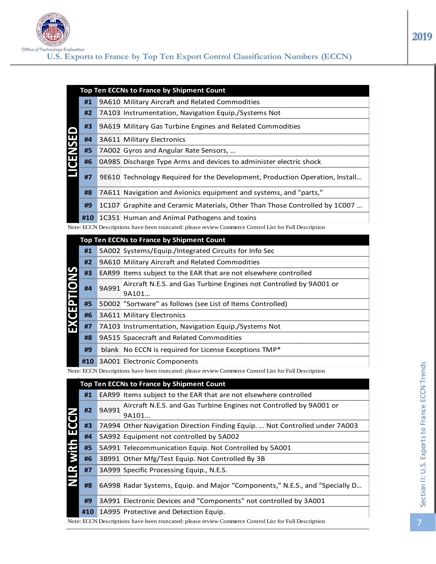

|             |    | Top Ten ECCNs to France by Shipment Count                                      |
|-------------|----|--------------------------------------------------------------------------------|
|             |    | <b>#1 9A610 Military Aircraft and Related Commodities</b>                      |
|             |    | #2 7A103 Instrumentation, Navigation Equip./Systems Not                        |
|             |    | <b>#3</b> 9A619 Military Gas Turbine Engines and Related Commodities           |
|             |    | #4 3A611 Military Electronics                                                  |
|             |    | #5 7A002 Gyros and Angular Rate Sensors,                                       |
| <b>ENSE</b> | #6 | <b>OA985</b> Discharge Type Arms and devices to administer electric shock      |
|             | #7 | 9E610 Technology Required for the Development, Production Operation, Install   |
|             |    | #8 7A611 Navigation and Avionics equipment and systems, and "parts,"           |
|             | #9 | 1 1 C107 Graphite and Ceramic Materials, Other Than Those Controlled by 1 C007 |
|             |    | #10 1C351 Human and Animal Pathogens and toxins                                |

|    |       | Top Ten ECCNs to France by Shipment Count                          |
|----|-------|--------------------------------------------------------------------|
| #1 |       | 5A002 Systems/Equip./Integrated Circuits for Info Sec              |
| #2 |       | 9A610 Military Aircraft and Related Commodities                    |
| #3 |       | EAR99 Items subject to the EAR that are not elsewhere controlled   |
| #4 | 9A991 | Aircraft N.E.S. and Gas Turbine Engines not Controlled by 9A001 or |
|    |       | 9A101                                                              |
| #5 |       | 5D002 "Sortware" as follows (see List of Items Controlled)         |
|    |       | #6 3A611 Military Electronics                                      |
| #7 |       | 7A103 Instrumentation, Navigation Equip./Systems Not               |
| #8 |       | 9A515 Spacecraft and Related Commodities                           |
| #9 |       | blank No ECCN is required for License Exceptions TMP*              |
|    |       | #10 3A001 Electronic Components                                    |

|                          |     |       | Top Ten ECCNs to France by Shipment Count                                                             |
|--------------------------|-----|-------|-------------------------------------------------------------------------------------------------------|
|                          | #1  |       | 9A610 Military Aircraft and Related Commodities                                                       |
|                          | #2  |       | 7A103 Instrumentation, Navigation Equip./Systems Not                                                  |
|                          | #3  |       | 9A619 Military Gas Turbine Engines and Related Commodities                                            |
| <b>ENSE</b>              | #4  |       | 3A611 Military Electronics                                                                            |
|                          | #5  |       | 7A002 Gyros and Angular Rate Sensors,                                                                 |
|                          | #6  |       | 0A985 Discharge Type Arms and devices to administer electric shock                                    |
|                          | #7  |       | 9E610 Technology Required for the Development, Production Operation, Install                          |
|                          | #8  |       | 7A611 Navigation and Avionics equipment and systems, and "parts,"                                     |
|                          | #9  |       | 1C107 Graphite and Ceramic Materials, Other Than Those Controlled by 1C007                            |
|                          | #10 |       | 1C351 Human and Animal Pathogens and toxins                                                           |
|                          |     |       | Note: ECCN Descriptions have been truncated: please review Commerce Control List for Full Description |
|                          |     |       | Top Ten ECCNs to France by Shipment Count                                                             |
|                          | #1  |       | 5A002 Systems/Equip./Integrated Circuits for Info Sec                                                 |
|                          | #2  |       | 9A610 Military Aircraft and Related Commodities                                                       |
|                          | #3  |       | EAR99 Items subject to the EAR that are not elsewhere controlled                                      |
| <b>EXCEPTIONS</b>        | #4  | 9A991 | Aircraft N.E.S. and Gas Turbine Engines not Controlled by 9A001 or<br>9A101                           |
|                          | #5  |       | 5D002 "Sortware" as follows (see List of Items Controlled)                                            |
|                          | #6  |       | 3A611 Military Electronics                                                                            |
|                          | #7  |       | 7A103 Instrumentation, Navigation Equip./Systems Not                                                  |
|                          | #8  |       | 9A515 Spacecraft and Related Commodities                                                              |
|                          | #9  |       | blank No ECCN is required for License Exceptions TMP*                                                 |
|                          | #10 |       | 3A001 Electronic Components                                                                           |
|                          |     |       | Note: ECCN Descriptions have been truncated: please review Commerce Control List for Full Description |
|                          |     |       | Top Ten ECCNs to France by Shipment Count                                                             |
|                          | #1  |       | EAR99 Items subject to the EAR that are not elsewhere controlled                                      |
|                          | #2  | 9A991 | Aircraft N.E.S. and Gas Turbine Engines not Controlled by 9A001 or<br>9A101                           |
|                          | #3  |       | 7A994 Other Navigation Direction Finding Equip.  Not Controlled under 7A003                           |
|                          | #4  |       | 5A992 Equipment not controlled by 5A002                                                               |
|                          | #5  |       | 5A991 Telecommunication Equip. Not Controlled by 5A001                                                |
| <b>R</b> with <b>ECC</b> | #6  |       | 3B991 Other Mfg/Test Equip. Not Controlled By 3B                                                      |
|                          | #7  |       | 3A999 Specific Processing Equip., N.E.S.                                                              |
|                          | #8  |       | 6A998 Radar Systems, Equip. and Major "Components," N.E.S., and "Specially D                          |
|                          | #9  |       | 3A991 Electronic Devices and "Components" not controlled by 3A001                                     |
|                          | #10 |       | 1A995 Protective and Detection Equip.                                                                 |
|                          |     |       | Note: ECCN Descriptions have been truncated: please review Commerce Control List for Full Description |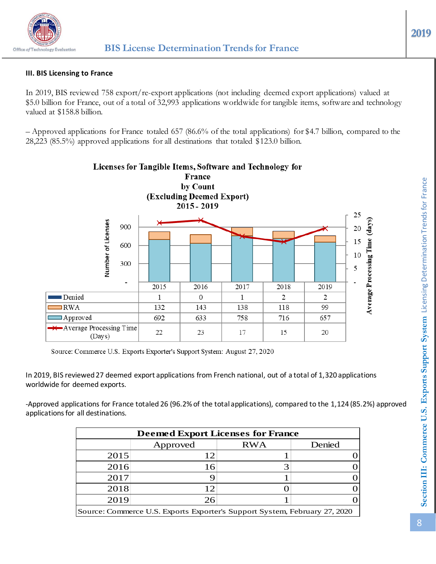

# **III. BIS Licensing to France**

In 2019, BIS reviewed 758 export/re-export applications (not including deemed export applications) valued at \$5.0 billion for France, out of a total of 32,993 applications worldwide for tangible items, software and technology valued at \$158.8 billion.

– Approved applications for France totaled 657 (86.6% of the total applications) for \$4.7 billion, compared to the 28,223 (85.5%) approved applications for all destinations that totaled \$123.0 billion.



Source: Commerce U.S. Exports Exporter's Support System: August 27, 2020

In 2019, BIS reviewed 27 deemed export applications from French national, out of a total of 1,320 applications worldwide for deemed exports.

-Approved applications for France totaled 26 (96.2%of the total applications), compared to the 1,124 (85.2%) approved applications for all destinations.

| <b>Deemed Export Licenses for France</b> |                                                                            |            |        |  |  |  |  |  |  |
|------------------------------------------|----------------------------------------------------------------------------|------------|--------|--|--|--|--|--|--|
|                                          | Approved                                                                   | <b>RWA</b> | Denied |  |  |  |  |  |  |
| 2015                                     | 12                                                                         |            |        |  |  |  |  |  |  |
| 2016                                     | 16                                                                         |            |        |  |  |  |  |  |  |
| 2017                                     |                                                                            |            |        |  |  |  |  |  |  |
| 2018                                     | 12                                                                         |            |        |  |  |  |  |  |  |
| 2019                                     | 26                                                                         |            |        |  |  |  |  |  |  |
|                                          | Source: Commerce U.S. Exports Exporter's Support System, February 27, 2020 |            |        |  |  |  |  |  |  |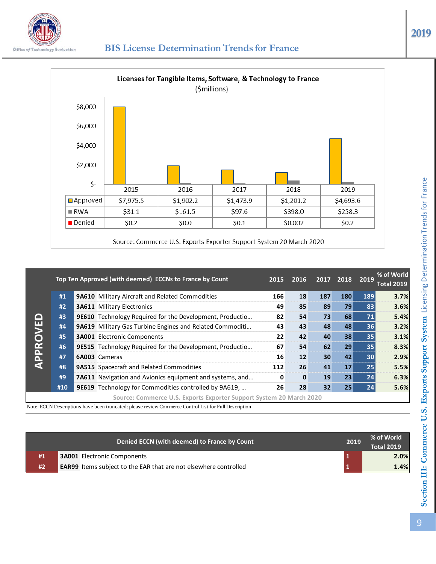

# *<u>Office of Technology Evaluation* BIS License Determination Trends for France</u>



|         |     | Top Ten Approved (with deemed) ECCNs to France by Count             | 2015         | 2016         |     | 2017 2018 | 2019 | % of World<br><b>Total 2019</b> |
|---------|-----|---------------------------------------------------------------------|--------------|--------------|-----|-----------|------|---------------------------------|
|         | #1  | 9A610 Military Aircraft and Related Commodities                     | 166          | 18           | 187 | 180       | 189  | 3.7%                            |
|         | #2  | <b>3A611 Military Electronics</b>                                   | 49           | 85           | 89  | 79        | 83   | 3.6%                            |
| $\Box$  | #3  | 9E610 Technology Required for the Development, Productio            | 82           | 54           | 73  | 68        | 71   | 5.4%                            |
| APPROVE | #4  | 9A619 Military Gas Turbine Engines and Related Commoditi            | 43           | 43           | 48  | 48        | 36   | 3.2%                            |
|         | #5  | <b>3A001</b> Electronic Components                                  | 22           | 42           | 40  | 38        | 35   | 3.1%                            |
|         | #6  | 9E515 Technology Required for the Development, Productio            | 67           | 54           | 62  | 29        | 35   | 8.3%                            |
|         | #7  | <b>6A003</b> Cameras                                                | 16           | 12           | 30  | 42        | 30   | 2.9%                            |
|         | #8  | <b>9A515</b> Spacecraft and Related Commodities                     | 112          | 26           | 41  | 17        | 25   | 5.5%                            |
|         | #9  | 7A611 Navigation and Avionics equipment and systems, and            | $\mathbf{0}$ | $\mathbf{0}$ | 19  | 23        | 24   | 6.3%                            |
|         | #10 | 9E619 Technology for Commodities controlled by 9A619,               | 26           | 28           | 32  | 25        | 24   | 5.6%                            |
|         |     | Source: Commerce U.S. Exports Exporter Support System 20 March 2020 |              |              |     |           |      |                                 |

Note: ECCN Descriptions have been truncated: please review Commerce Control List for Full Description

|    | Denied ECCN (with deemed) to France by Count                            | 2019 | % of World<br><b>Total 2019</b> |
|----|-------------------------------------------------------------------------|------|---------------------------------|
| #1 | <b>3A001</b> Electronic Components                                      |      | 2.0%                            |
| #2 | <b>EAR99</b> Items subject to the EAR that are not elsewhere controlled |      | 1.4%                            |